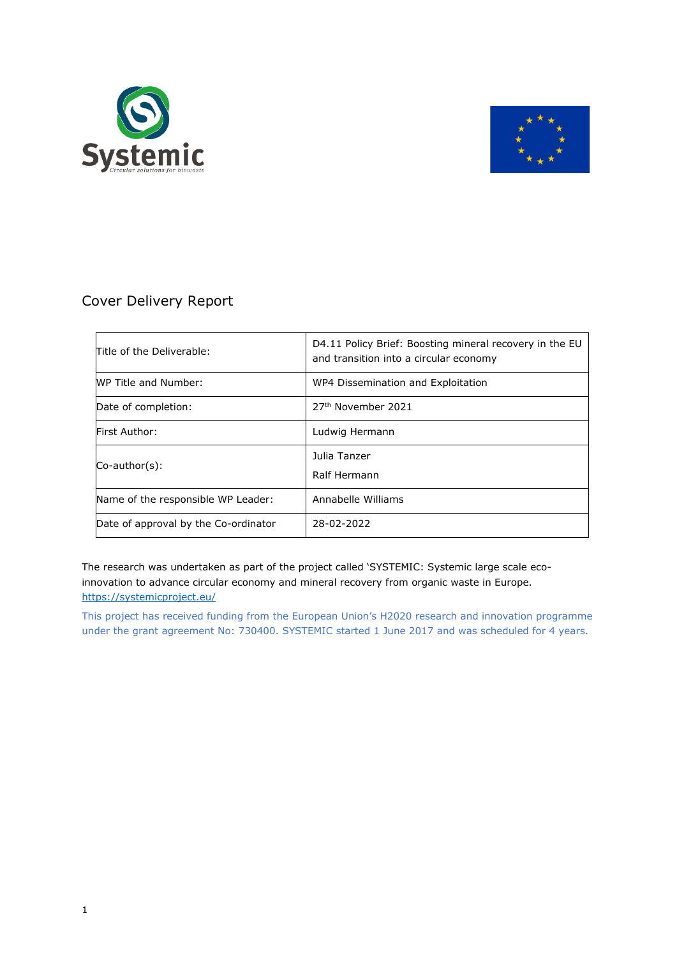



### Cover Delivery Report

| Title of the Deliverable:            | D4.11 Policy Brief: Boosting mineral recovery in the EU<br>and transition into a circular economy |  |  |
|--------------------------------------|---------------------------------------------------------------------------------------------------|--|--|
| WP Title and Number:                 | WP4 Dissemination and Exploitation                                                                |  |  |
| Date of completion:                  | 27 <sup>th</sup> November 2021                                                                    |  |  |
| <b>First Author:</b>                 | Ludwig Hermann                                                                                    |  |  |
| $Co$ -author $(s)$ :                 | Julia Tanzer<br>Ralf Hermann                                                                      |  |  |
| Name of the responsible WP Leader:   | Annabelle Williams                                                                                |  |  |
| Date of approval by the Co-ordinator | 28-02-2022                                                                                        |  |  |

The research was undertaken as part of the project called 'SYSTEMIC: Systemic large scale ecoinnovation to advance circular economy and mineral recovery from organic waste in Europe. <https://systemicproject.eu/>

This project has received funding from the European Union's H2020 research and innovation programme under the grant agreement No: 730400. SYSTEMIC started 1 June 2017 and was scheduled for 4 years.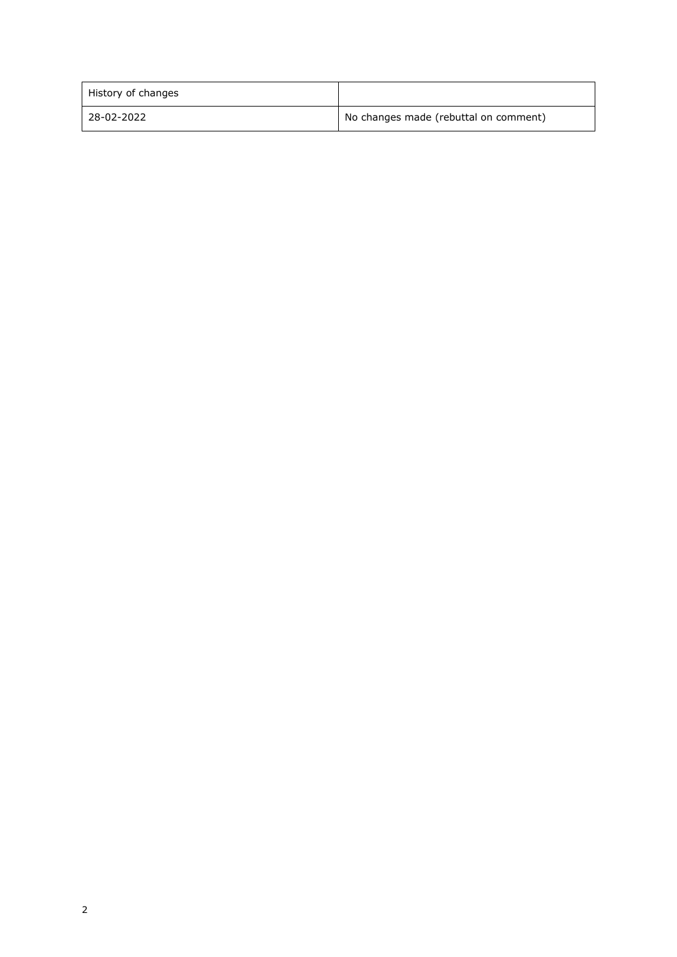| History of changes |                                       |  |
|--------------------|---------------------------------------|--|
| 28-02-2022         | No changes made (rebuttal on comment) |  |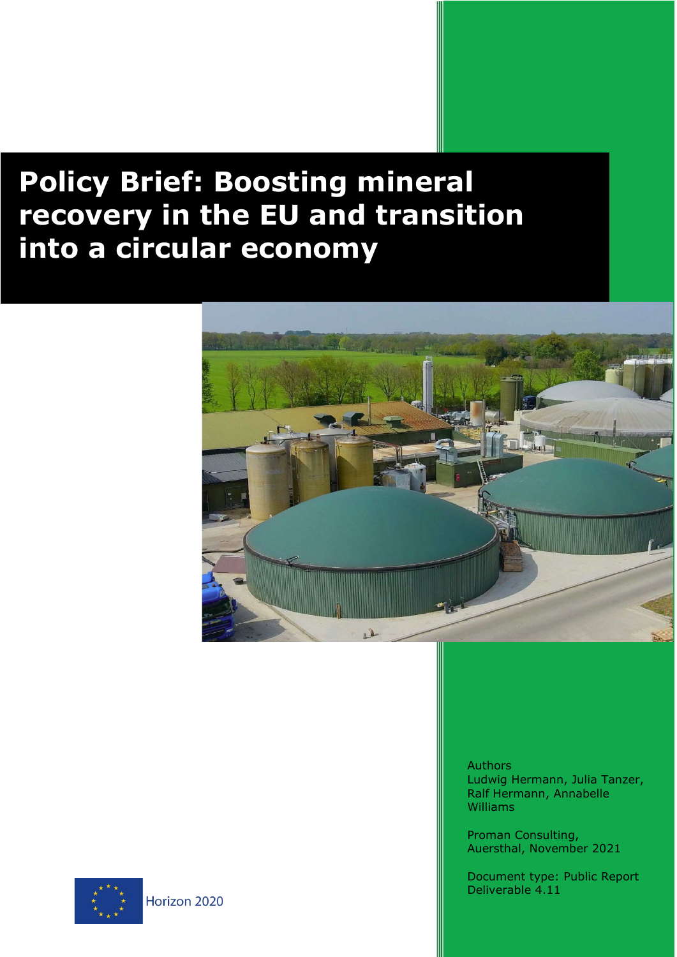# $\mathsf{all}$ **Policy Brief: Boosting mineral recovery in the EU and transition into a circular economy**



**Authors** Ludwig Hermann, Julia Tanzer, Ralf Hermann, Annabelle Williams

Proman Consulting, Auersthal, November 2021

Document type: Public Report Deliverable 4.11

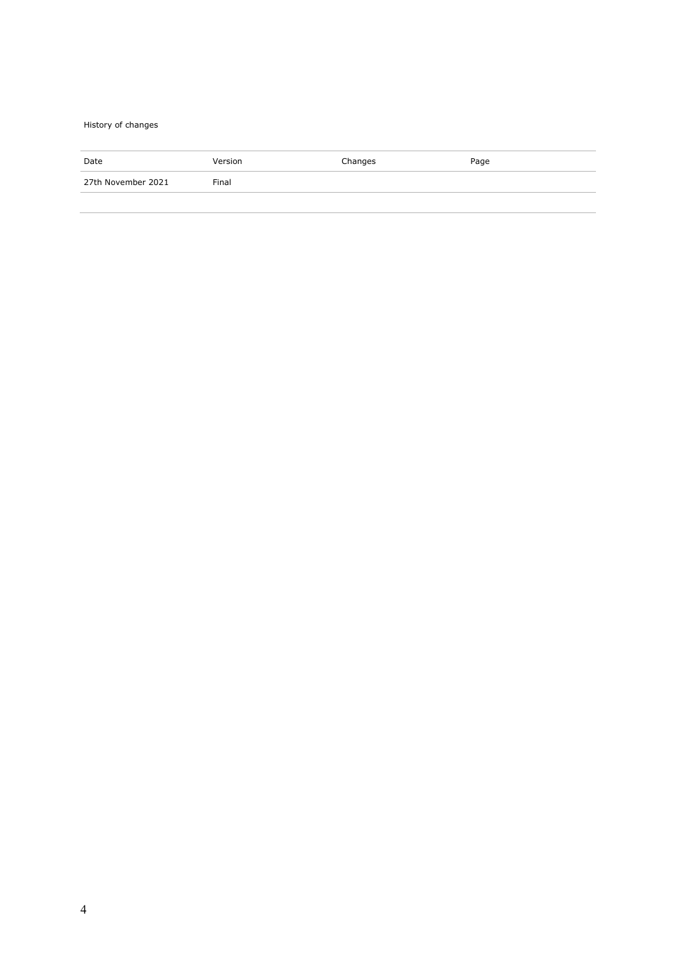#### History of changes

| Date               | Version | Changes | Page |
|--------------------|---------|---------|------|
| 27th November 2021 | Final   |         |      |
|                    |         |         |      |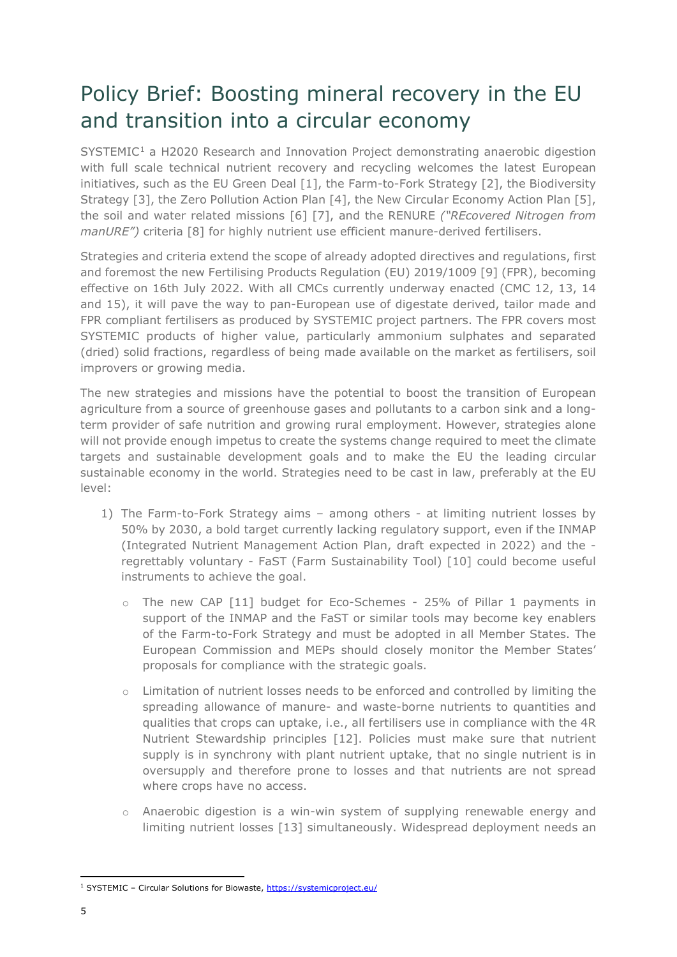# Policy Brief: Boosting mineral recovery in the EU and transition into a circular economy

SYSTEMIC<sup>[1](#page-4-0)</sup> a H2020 Research and Innovation Project demonstrating anaerobic digestion with full scale technical nutrient recovery and recycling welcomes the latest European initiatives, such as the EU Green Deal [1], the Farm-to-Fork Strategy [2], the Biodiversity Strategy [3], the Zero Pollution Action Plan [4], the New Circular Economy Action Plan [5], the soil and water related missions [6] [7], and the RENURE *("REcovered Nitrogen from manURE")* criteria [8] for highly nutrient use efficient manure-derived fertilisers.

Strategies and criteria extend the scope of already adopted directives and regulations, first and foremost the new Fertilising Products Regulation (EU) 2019/1009 [9] (FPR), becoming effective on 16th July 2022. With all CMCs currently underway enacted (CMC 12, 13, 14 and 15), it will pave the way to pan-European use of digestate derived, tailor made and FPR compliant fertilisers as produced by SYSTEMIC project partners. The FPR covers most SYSTEMIC products of higher value, particularly ammonium sulphates and separated (dried) solid fractions, regardless of being made available on the market as fertilisers, soil improvers or growing media.

The new strategies and missions have the potential to boost the transition of European agriculture from a source of greenhouse gases and pollutants to a carbon sink and a longterm provider of safe nutrition and growing rural employment. However, strategies alone will not provide enough impetus to create the systems change required to meet the climate targets and sustainable development goals and to make the EU the leading circular sustainable economy in the world. Strategies need to be cast in law, preferably at the EU level:

- 1) The Farm-to-Fork Strategy aims among others at limiting nutrient losses by 50% by 2030, a bold target currently lacking regulatory support, even if the INMAP (Integrated Nutrient Management Action Plan, draft expected in 2022) and the regrettably voluntary - FaST (Farm Sustainability Tool) [10] could become useful instruments to achieve the goal.
	- o The new CAP [11] budget for Eco-Schemes 25% of Pillar 1 payments in support of the INMAP and the FaST or similar tools may become key enablers of the Farm-to-Fork Strategy and must be adopted in all Member States. The European Commission and MEPs should closely monitor the Member States' proposals for compliance with the strategic goals.
	- o Limitation of nutrient losses needs to be enforced and controlled by limiting the spreading allowance of manure- and waste-borne nutrients to quantities and qualities that crops can uptake, i.e., all fertilisers use in compliance with the 4R Nutrient Stewardship principles [12]. Policies must make sure that nutrient supply is in synchrony with plant nutrient uptake, that no single nutrient is in oversupply and therefore prone to losses and that nutrients are not spread where crops have no access.
	- o Anaerobic digestion is a win-win system of supplying renewable energy and limiting nutrient losses [13] simultaneously. Widespread deployment needs an

<span id="page-4-0"></span><sup>&</sup>lt;sup>1</sup> SYSTEMIC – Circular Solutions for Biowaste, https://systemicproject.eu/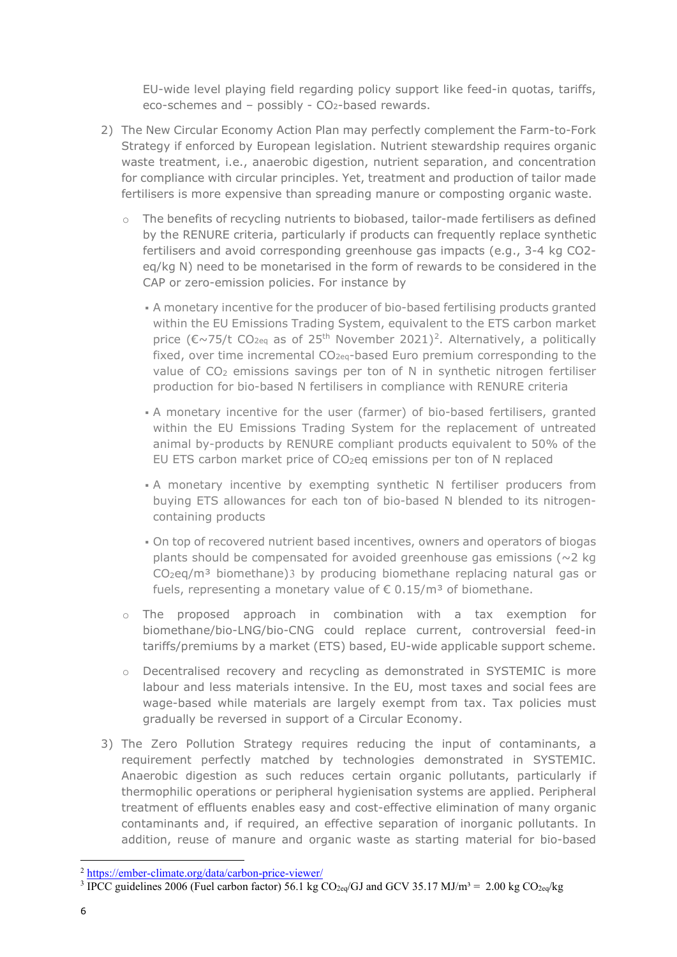EU-wide level playing field regarding policy support like feed-in quotas, tariffs, eco-schemes and  $-$  possibly -  $CO<sub>2</sub>$ -based rewards.

- 2) The New Circular Economy Action Plan may perfectly complement the Farm-to-Fork Strategy if enforced by European legislation. Nutrient stewardship requires organic waste treatment, i.e., anaerobic digestion, nutrient separation, and concentration for compliance with circular principles. Yet, treatment and production of tailor made fertilisers is more expensive than spreading manure or composting organic waste.
	- The benefits of recycling nutrients to biobased, tailor-made fertilisers as defined by the RENURE criteria, particularly if products can frequently replace synthetic fertilisers and avoid corresponding greenhouse gas impacts (e.g., 3-4 kg CO2 eq/kg N) need to be monetarised in the form of rewards to be considered in the CAP or zero-emission policies. For instance by
		- A monetary incentive for the producer of bio-based fertilising products granted within the EU Emissions Trading System, equivalent to the ETS carbon market price ( $\epsilon \sim 75/t$  CO<sub>[2](#page-5-0)eq</sub> as of 25<sup>th</sup> November 2021)<sup>2</sup>. Alternatively, a politically fixed, over time incremental CO<sub>2eq</sub>-based Euro premium corresponding to the value of CO<sub>2</sub> emissions savings per ton of N in synthetic nitrogen fertiliser production for bio-based N fertilisers in compliance with RENURE criteria
		- A monetary incentive for the user (farmer) of bio-based fertilisers, granted within the EU Emissions Trading System for the replacement of untreated animal by-products by RENURE compliant products equivalent to 50% of the EU ETS carbon market price of CO<sub>2</sub>eq emissions per ton of N replaced
		- A monetary incentive by exempting synthetic N fertiliser producers from buying ETS allowances for each ton of bio-based N blended to its nitrogencontaining products
		- On top of recovered nutrient based incentives, owners and operators of biogas plants should be compensated for avoided greenhouse gas emissions ( $\sim$ 2 kg)  $CO<sub>2</sub>eq/m<sup>3</sup>$  $CO<sub>2</sub>eq/m<sup>3</sup>$  $CO<sub>2</sub>eq/m<sup>3</sup>$  biomethane)3 by producing biomethane replacing natural gas or fuels, representing a monetary value of  $\epsilon$  0.15/m<sup>3</sup> of biomethane.
	- o The proposed approach in combination with a tax exemption for biomethane/bio-LNG/bio-CNG could replace current, controversial feed-in tariffs/premiums by a market (ETS) based, EU-wide applicable support scheme.
	- o Decentralised recovery and recycling as demonstrated in SYSTEMIC is more labour and less materials intensive. In the EU, most taxes and social fees are wage-based while materials are largely exempt from tax. Tax policies must gradually be reversed in support of a Circular Economy.
- 3) The Zero Pollution Strategy requires reducing the input of contaminants, a requirement perfectly matched by technologies demonstrated in SYSTEMIC. Anaerobic digestion as such reduces certain organic pollutants, particularly if thermophilic operations or peripheral hygienisation systems are applied. Peripheral treatment of effluents enables easy and cost-effective elimination of many organic contaminants and, if required, an effective separation of inorganic pollutants. In addition, reuse of manure and organic waste as starting material for bio-based

<span id="page-5-0"></span><sup>2</sup> <https://ember-climate.org/data/carbon-price-viewer/>

<span id="page-5-1"></span><sup>&</sup>lt;sup>3</sup> IPCC guidelines 2006 (Fuel carbon factor) 56.1 kg CO<sub>2eq</sub>/GJ and GCV 35.17 MJ/m<sup>3</sup> = 2.00 kg CO<sub>2eq</sub>/kg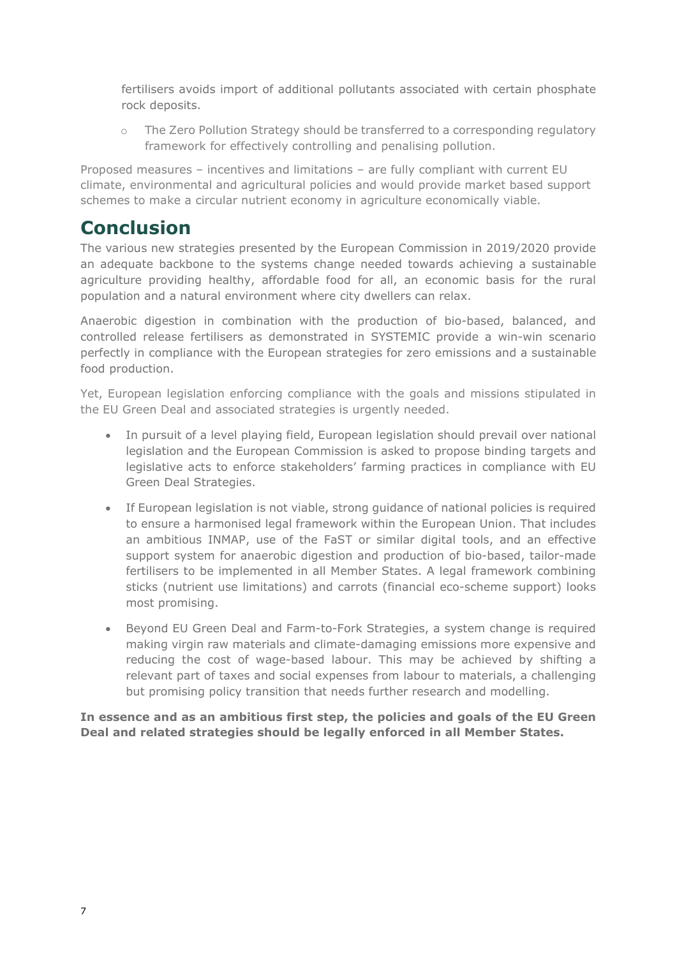fertilisers avoids import of additional pollutants associated with certain phosphate rock deposits.

o The Zero Pollution Strategy should be transferred to a corresponding regulatory framework for effectively controlling and penalising pollution.

Proposed measures – incentives and limitations – are fully compliant with current EU climate, environmental and agricultural policies and would provide market based support schemes to make a circular nutrient economy in agriculture economically viable.

## **Conclusion**

The various new strategies presented by the European Commission in 2019/2020 provide an adequate backbone to the systems change needed towards achieving a sustainable agriculture providing healthy, affordable food for all, an economic basis for the rural population and a natural environment where city dwellers can relax.

Anaerobic digestion in combination with the production of bio-based, balanced, and controlled release fertilisers as demonstrated in SYSTEMIC provide a win-win scenario perfectly in compliance with the European strategies for zero emissions and a sustainable food production.

Yet, European legislation enforcing compliance with the goals and missions stipulated in the EU Green Deal and associated strategies is urgently needed.

- In pursuit of a level playing field, European legislation should prevail over national legislation and the European Commission is asked to propose binding targets and legislative acts to enforce stakeholders' farming practices in compliance with EU Green Deal Strategies.
- If European legislation is not viable, strong guidance of national policies is required to ensure a harmonised legal framework within the European Union. That includes an ambitious INMAP, use of the FaST or similar digital tools, and an effective support system for anaerobic digestion and production of bio-based, tailor-made fertilisers to be implemented in all Member States. A legal framework combining sticks (nutrient use limitations) and carrots (financial eco-scheme support) looks most promising.
- Beyond EU Green Deal and Farm-to-Fork Strategies, a system change is required making virgin raw materials and climate-damaging emissions more expensive and reducing the cost of wage-based labour. This may be achieved by shifting a relevant part of taxes and social expenses from labour to materials, a challenging but promising policy transition that needs further research and modelling.

**In essence and as an ambitious first step, the policies and goals of the EU Green Deal and related strategies should be legally enforced in all Member States.**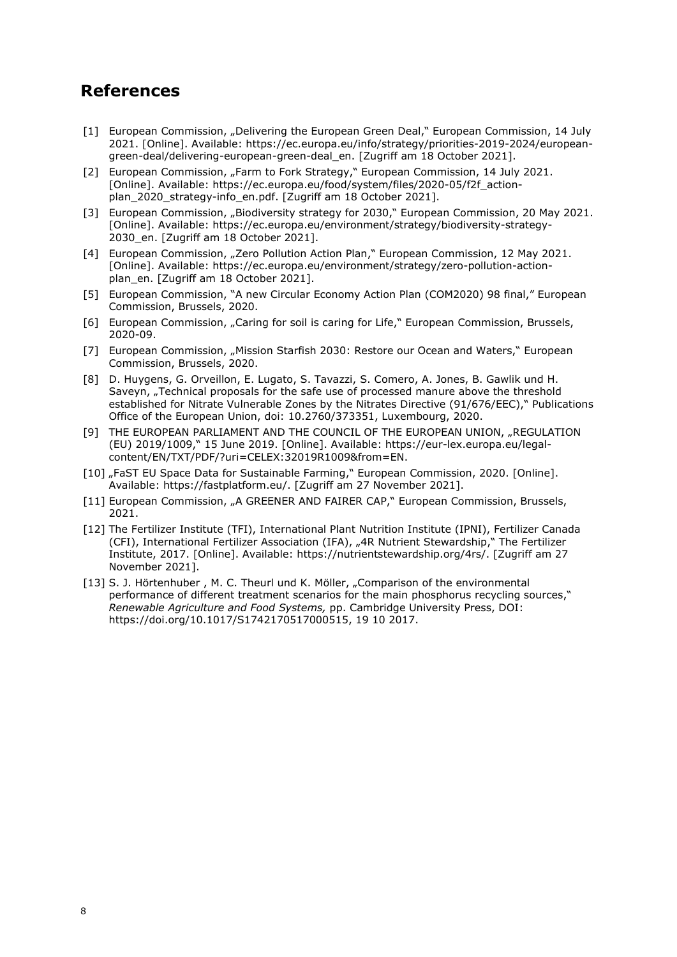### **References**

- [1] European Commission, "Delivering the European Green Deal," European Commission, 14 July 2021. [Online]. Available: https://ec.europa.eu/info/strategy/priorities-2019-2024/europeangreen-deal/delivering-european-green-deal\_en. [Zugriff am 18 October 2021].
- [2] European Commission, "Farm to Fork Strategy," European Commission, 14 July 2021. [Online]. Available: https://ec.europa.eu/food/system/files/2020-05/f2f\_actionplan\_2020\_strategy-info\_en.pdf. [Zugriff am 18 October 2021].
- [3] European Commission, "Biodiversity strategy for 2030," European Commission, 20 May 2021. [Online]. Available: https://ec.europa.eu/environment/strategy/biodiversity-strategy-2030\_en. [Zugriff am 18 October 2021].
- [4] European Commission, "Zero Pollution Action Plan," European Commission, 12 May 2021. [Online]. Available: https://ec.europa.eu/environment/strategy/zero-pollution-actionplan\_en. [Zugriff am 18 October 2021].
- [5] European Commission, "A new Circular Economy Action Plan (COM2020) 98 final," European Commission, Brussels, 2020.
- [6] European Commission, "Caring for soil is caring for Life," European Commission, Brussels, 2020-09.
- [7] European Commission, "Mission Starfish 2030: Restore our Ocean and Waters," European Commission, Brussels, 2020.
- [8] D. Huygens, G. Orveillon, E. Lugato, S. Tavazzi, S. Comero, A. Jones, B. Gawlik und H. Saveyn, "Technical proposals for the safe use of processed manure above the threshold established for Nitrate Vulnerable Zones by the Nitrates Directive (91/676/EEC)," Publications Office of the European Union, doi: 10.2760/373351, Luxembourg, 2020.
- [9] THE EUROPEAN PARLIAMENT AND THE COUNCIL OF THE EUROPEAN UNION, "REGULATION (EU) 2019/1009," 15 June 2019. [Online]. Available: https://eur-lex.europa.eu/legalcontent/EN/TXT/PDF/?uri=CELEX:32019R1009&from=EN.
- [10] "FaST EU Space Data for Sustainable Farming," European Commission, 2020. [Online]. Available: https://fastplatform.eu/. [Zugriff am 27 November 2021].
- [11] European Commission, "A GREENER AND FAIRER CAP," European Commission, Brussels, 2021.
- [12] The Fertilizer Institute (TFI), International Plant Nutrition Institute (IPNI), Fertilizer Canada (CFI), International Fertilizer Association (IFA), "4R Nutrient Stewardship," The Fertilizer Institute, 2017. [Online]. Available: https://nutrientstewardship.org/4rs/. [Zugriff am 27 November 2021].
- [13] S. J. Hörtenhuber, M. C. Theurl und K. Möller, "Comparison of the environmental performance of different treatment scenarios for the main phosphorus recycling sources," *Renewable Agriculture and Food Systems,* pp. Cambridge University Press, DOI: https://doi.org/10.1017/S1742170517000515, 19 10 2017.